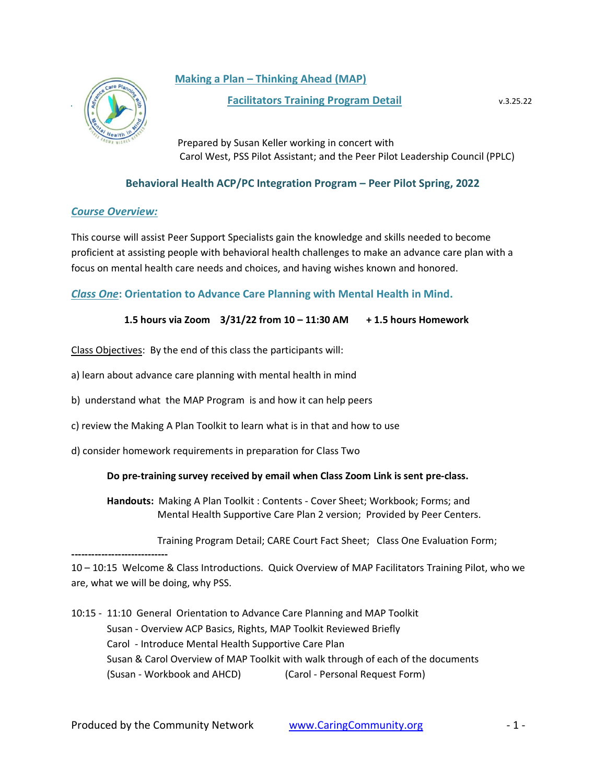# **Making a Plan – Thinking Ahead (MAP)**



### **Facilitators Training Program Detail** v.3.25.22

 Prepared by Susan Keller working in concert with Carol West, PSS Pilot Assistant; and the Peer Pilot Leadership Council (PPLC)

## **Behavioral Health ACP/PC Integration Program – Peer Pilot Spring, 2022**

## *Course Overview:*

This course will assist Peer Support Specialists gain the knowledge and skills needed to become proficient at assisting people with behavioral health challenges to make an advance care plan with a focus on mental health care needs and choices, and having wishes known and honored.

## *Class One***: Orientation to Advance Care Planning with Mental Health in Mind.**

## **1.5 hours via Zoom 3/31/22 from 10 – 11:30 AM + 1.5 hours Homework**

Class Objectives: By the end of this class the participants will:

- a) learn about advance care planning with mental health in mind
- b) understand what the MAP Program is and how it can help peers
- c) review the Making A Plan Toolkit to learn what is in that and how to use
- d) consider homework requirements in preparation for Class Two

### **Do pre-training survey received by email when Class Zoom Link is sent pre-class.**

**Handouts:** Making A Plan Toolkit : Contents - Cover Sheet; Workbook; Forms; and Mental Health Supportive Care Plan 2 version; Provided by Peer Centers.

Training Program Detail; CARE Court Fact Sheet; Class One Evaluation Form;

**-----------------------------** 10 – 10:15 Welcome & Class Introductions. Quick Overview of MAP Facilitators Training Pilot, who we are, what we will be doing, why PSS.

10:15 - 11:10 General Orientation to Advance Care Planning and MAP Toolkit Susan - Overview ACP Basics, Rights, MAP Toolkit Reviewed Briefly Carol - Introduce Mental Health Supportive Care Plan Susan & Carol Overview of MAP Toolkit with walk through of each of the documents (Susan - Workbook and AHCD) (Carol - Personal Request Form)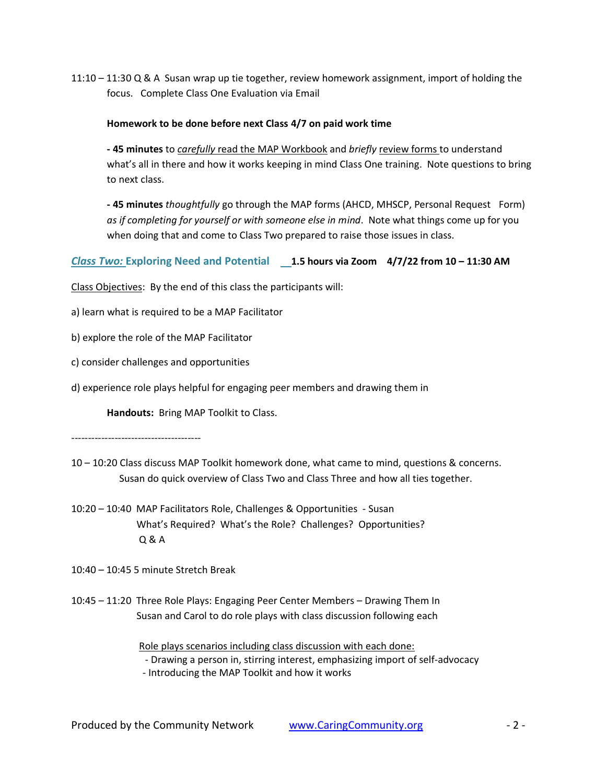11:10 – 11:30 Q & A Susan wrap up tie together, review homework assignment, import of holding the focus. Complete Class One Evaluation via Email

### **Homework to be done before next Class 4/7 on paid work time**

**- 45 minutes** to *carefully* read the MAP Workbook and *briefly* review forms to understand what's all in there and how it works keeping in mind Class One training. Note questions to bring to next class.

**- 45 minutes** *thoughtfully* go through the MAP forms (AHCD, MHSCP, Personal Request Form) *as if completing for yourself or with someone else in mind*. Note what things come up for you when doing that and come to Class Two prepared to raise those issues in class.

### *Class Two:* **Exploring Need and Potential 1.5 hours via Zoom 4/7/22 from 10 – 11:30 AM**

Class Objectives: By the end of this class the participants will:

a) learn what is required to be a MAP Facilitator

b) explore the role of the MAP Facilitator

c) consider challenges and opportunities

d) experience role plays helpful for engaging peer members and drawing them in

**Handouts:** Bring MAP Toolkit to Class.

---------------------------------------

- 10 10:20 Class discuss MAP Toolkit homework done, what came to mind, questions & concerns. Susan do quick overview of Class Two and Class Three and how all ties together.
- 10:20 10:40 MAP Facilitators Role, Challenges & Opportunities Susan What's Required? What's the Role? Challenges? Opportunities? Q & A
- 10:40 10:45 5 minute Stretch Break
- 10:45 11:20 Three Role Plays: Engaging Peer Center Members Drawing Them In Susan and Carol to do role plays with class discussion following each

 Role plays scenarios including class discussion with each done: - Drawing a person in, stirring interest, emphasizing import of self-advocacy - Introducing the MAP Toolkit and how it works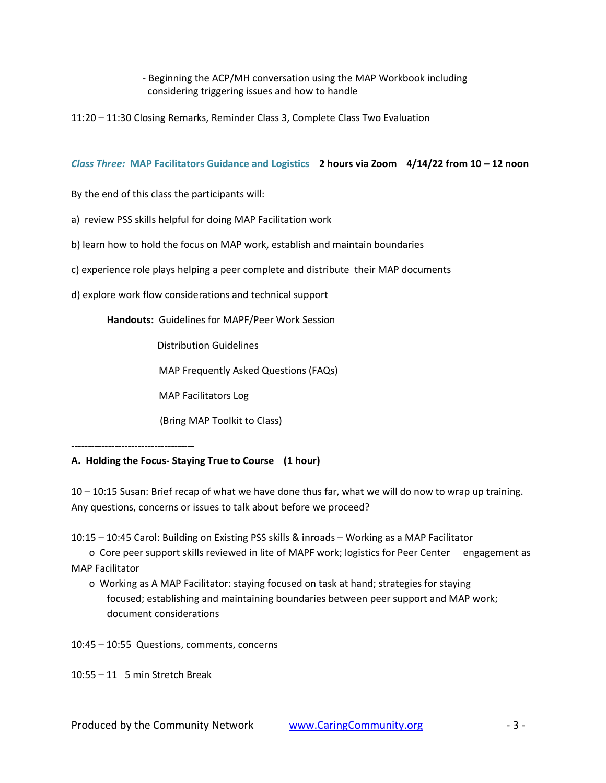## - Beginning the ACP/MH conversation using the MAP Workbook including considering triggering issues and how to handle

11:20 – 11:30 Closing Remarks, Reminder Class 3, Complete Class Two Evaluation

#### *Class Three:* **MAP Facilitators Guidance and Logistics 2 hours via Zoom 4/14/22 from 10 – 12 noon**

By the end of this class the participants will:

a) review PSS skills helpful for doing MAP Facilitation work

b) learn how to hold the focus on MAP work, establish and maintain boundaries

- c) experience role plays helping a peer complete and distribute their MAP documents
- d) explore work flow considerations and technical support

**Handouts:** Guidelines for MAPF/Peer Work Session

Distribution Guidelines

MAP Frequently Asked Questions (FAQs)

MAP Facilitators Log

(Bring MAP Toolkit to Class)

**-------------------------------------**

### **A. Holding the Focus- Staying True to Course (1 hour)**

10 – 10:15 Susan: Brief recap of what we have done thus far, what we will do now to wrap up training. Any questions, concerns or issues to talk about before we proceed?

10:15 – 10:45 Carol: Building on Existing PSS skills & inroads – Working as a MAP Facilitator

o Core peer support skills reviewed in lite of MAPF work; logistics for Peer Center engagement as MAP Facilitator

o Working as A MAP Facilitator: staying focused on task at hand; strategies for staying focused; establishing and maintaining boundaries between peer support and MAP work; document considerations

10:45 – 10:55 Questions, comments, concerns

10:55 – 11 5 min Stretch Break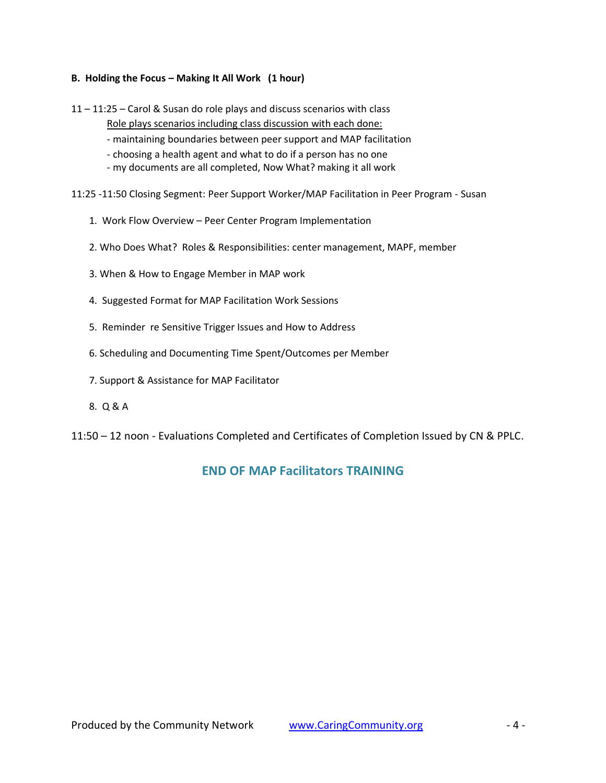### **B. Holding the Focus – Making It All Work (1 hour)**

11 – 11:25 – Carol & Susan do role plays and discuss scenarios with class

Role plays scenarios including class discussion with each done:

- maintaining boundaries between peer support and MAP facilitation
- choosing a health agent and what to do if a person has no one
- my documents are all completed, Now What? making it all work

11:25 -11:50 Closing Segment: Peer Support Worker/MAP Facilitation in Peer Program - Susan

- 1. Work Flow Overview Peer Center Program Implementation
- 2. Who Does What? Roles & Responsibilities: center management, MAPF, member
- 3. When & How to Engage Member in MAP work
- 4. Suggested Format for MAP Facilitation Work Sessions
- 5. Reminder re Sensitive Trigger Issues and How to Address
- 6. Scheduling and Documenting Time Spent/Outcomes per Member
- 7. Support & Assistance for MAP Facilitator
- 8. Q & A
- 11:50 12 noon Evaluations Completed and Certificates of Completion Issued by CN & PPLC.

# **END OF MAP Facilitators TRAINING**